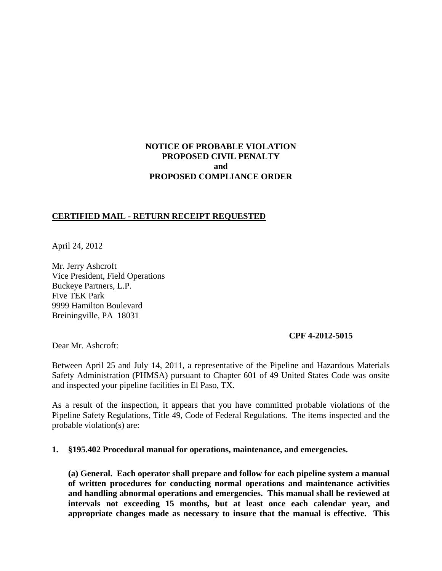# **NOTICE OF PROBABLE VIOLATION PROPOSED CIVIL PENALTY and PROPOSED COMPLIANCE ORDER**

### **CERTIFIED MAIL - RETURN RECEIPT REQUESTED**

April 24, 2012

Mr. Jerry Ashcroft Vice President, Field Operations Buckeye Partners, L.P. Five TEK Park 9999 Hamilton Boulevard Breiningville, PA 18031

#### **CPF 4-2012-5015**

Dear Mr. Ashcroft:

Between April 25 and July 14, 2011, a representative of the Pipeline and Hazardous Materials Safety Administration (PHMSA) pursuant to Chapter 601 of 49 United States Code was onsite and inspected your pipeline facilities in El Paso, TX.

As a result of the inspection, it appears that you have committed probable violations of the Pipeline Safety Regulations, Title 49, Code of Federal Regulations. The items inspected and the probable violation(s) are:

#### **1. §195.402 Procedural manual for operations, maintenance, and emergencies.**

**(a) General. Each operator shall prepare and follow for each pipeline system a manual of written procedures for conducting normal operations and maintenance activities and handling abnormal operations and emergencies. This manual shall be reviewed at intervals not exceeding 15 months, but at least once each calendar year, and appropriate changes made as necessary to insure that the manual is effective. This**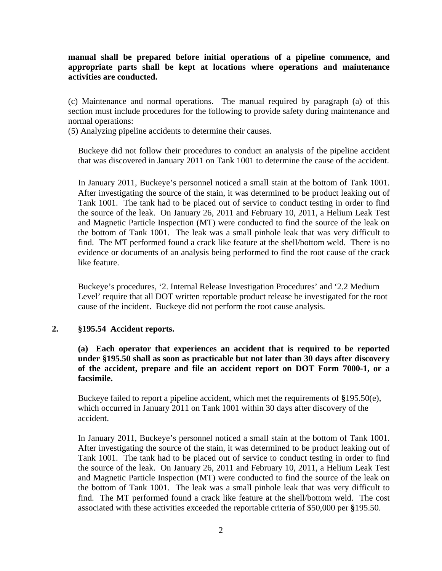**manual shall be prepared before initial operations of a pipeline commence, and appropriate parts shall be kept at locations where operations and maintenance activities are conducted.**

(c) Maintenance and normal operations. The manual required by paragraph (a) of this section must include procedures for the following to provide safety during maintenance and normal operations:

(5) Analyzing pipeline accidents to determine their causes.

Buckeye did not follow their procedures to conduct an analysis of the pipeline accident that was discovered in January 2011 on Tank 1001 to determine the cause of the accident.

In January 2011, Buckeye's personnel noticed a small stain at the bottom of Tank 1001. After investigating the source of the stain, it was determined to be product leaking out of Tank 1001. The tank had to be placed out of service to conduct testing in order to find the source of the leak. On January 26, 2011 and February 10, 2011, a Helium Leak Test and Magnetic Particle Inspection (MT) were conducted to find the source of the leak on the bottom of Tank 1001. The leak was a small pinhole leak that was very difficult to find. The MT performed found a crack like feature at the shell/bottom weld. There is no evidence or documents of an analysis being performed to find the root cause of the crack like feature.

Buckeye's procedures, '2. Internal Release Investigation Procedures' and '2.2 Medium Level' require that all DOT written reportable product release be investigated for the root cause of the incident. Buckeye did not perform the root cause analysis.

### **2. §195.54 Accident reports.**

**(a) Each operator that experiences an accident that is required to be reported under §195.50 shall as soon as practicable but not later than 30 days after discovery of the accident, prepare and file an accident report on DOT Form 7000-1, or a facsimile.**

Buckeye failed to report a pipeline accident, which met the requirements of **§**195.50(e), which occurred in January 2011 on Tank 1001 within 30 days after discovery of the accident.

In January 2011, Buckeye's personnel noticed a small stain at the bottom of Tank 1001. After investigating the source of the stain, it was determined to be product leaking out of Tank 1001. The tank had to be placed out of service to conduct testing in order to find the source of the leak. On January 26, 2011 and February 10, 2011, a Helium Leak Test and Magnetic Particle Inspection (MT) were conducted to find the source of the leak on the bottom of Tank 1001. The leak was a small pinhole leak that was very difficult to find. The MT performed found a crack like feature at the shell/bottom weld. The cost associated with these activities exceeded the reportable criteria of \$50,000 per **§**195.50.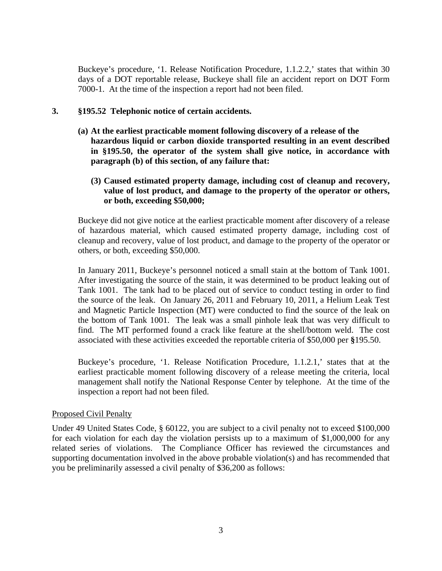Buckeye's procedure, '1. Release Notification Procedure, 1.1.2.2,' states that within 30 days of a DOT reportable release, Buckeye shall file an accident report on DOT Form 7000-1. At the time of the inspection a report had not been filed.

### **3. §195.52 Telephonic notice of certain accidents.**

- **(a) At the earliest practicable moment following discovery of a release of the hazardous liquid or carbon dioxide transported resulting in an event described in §195.50, the operator of the system shall give notice, in accordance with paragraph (b) of this section, of any failure that:**
	- **(3) Caused estimated property damage, including cost of cleanup and recovery, value of lost product, and damage to the property of the operator or others, or both, exceeding \$50,000;**

Buckeye did not give notice at the earliest practicable moment after discovery of a release of hazardous material, which caused estimated property damage, including cost of cleanup and recovery, value of lost product, and damage to the property of the operator or others, or both, exceeding \$50,000.

In January 2011, Buckeye's personnel noticed a small stain at the bottom of Tank 1001. After investigating the source of the stain, it was determined to be product leaking out of Tank 1001. The tank had to be placed out of service to conduct testing in order to find the source of the leak. On January 26, 2011 and February 10, 2011, a Helium Leak Test and Magnetic Particle Inspection (MT) were conducted to find the source of the leak on the bottom of Tank 1001. The leak was a small pinhole leak that was very difficult to find. The MT performed found a crack like feature at the shell/bottom weld. The cost associated with these activities exceeded the reportable criteria of \$50,000 per **§**195.50.

Buckeye's procedure, '1. Release Notification Procedure, 1.1.2.1,' states that at the earliest practicable moment following discovery of a release meeting the criteria, local management shall notify the National Response Center by telephone. At the time of the inspection a report had not been filed.

### Proposed Civil Penalty

Under 49 United States Code, § 60122, you are subject to a civil penalty not to exceed \$100,000 for each violation for each day the violation persists up to a maximum of \$1,000,000 for any related series of violations. The Compliance Officer has reviewed the circumstances and supporting documentation involved in the above probable violation(s) and has recommended that you be preliminarily assessed a civil penalty of \$36,200 as follows: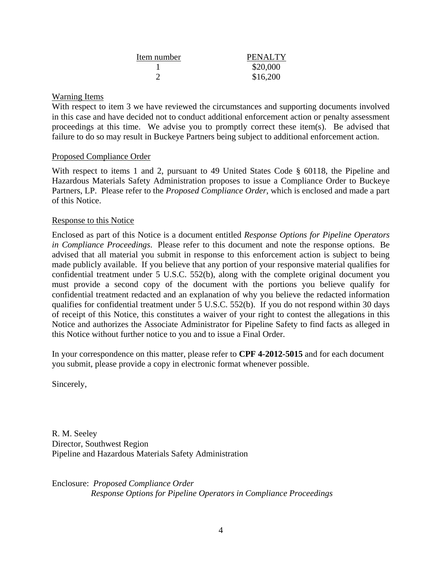| Item number | PENALTY  |
|-------------|----------|
|             | \$20,000 |
|             | \$16,200 |

## Warning Items

With respect to item 3 we have reviewed the circumstances and supporting documents involved in this case and have decided not to conduct additional enforcement action or penalty assessment proceedings at this time. We advise you to promptly correct these item(s). Be advised that failure to do so may result in Buckeye Partners being subject to additional enforcement action.

### Proposed Compliance Order

With respect to items 1 and 2, pursuant to 49 United States Code § 60118, the Pipeline and Hazardous Materials Safety Administration proposes to issue a Compliance Order to Buckeye Partners, LP. Please refer to the *Proposed Compliance Order*, which is enclosed and made a part of this Notice.

### Response to this Notice

Enclosed as part of this Notice is a document entitled *Response Options for Pipeline Operators in Compliance Proceedings*. Please refer to this document and note the response options. Be advised that all material you submit in response to this enforcement action is subject to being made publicly available. If you believe that any portion of your responsive material qualifies for confidential treatment under 5 U.S.C. 552(b), along with the complete original document you must provide a second copy of the document with the portions you believe qualify for confidential treatment redacted and an explanation of why you believe the redacted information qualifies for confidential treatment under 5 U.S.C. 552(b). If you do not respond within 30 days of receipt of this Notice, this constitutes a waiver of your right to contest the allegations in this Notice and authorizes the Associate Administrator for Pipeline Safety to find facts as alleged in this Notice without further notice to you and to issue a Final Order.

In your correspondence on this matter, please refer to **CPF 4-2012-5015** and for each document you submit, please provide a copy in electronic format whenever possible.

Sincerely,

R. M. Seeley Director, Southwest Region Pipeline and Hazardous Materials Safety Administration

Enclosure: *Proposed Compliance Order Response Options for Pipeline Operators in Compliance Proceedings*